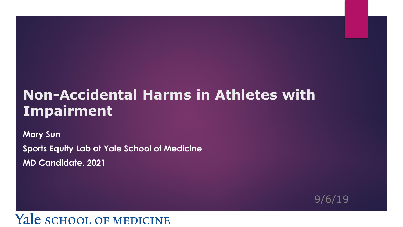#### **Non-Accidental Harms in Athletes with Impairment**

**Mary Sun**

**Sports Equity Lab at Yale School of Medicine MD Candidate, 2021** 

9/6/19

#### Yale school of MEDICINE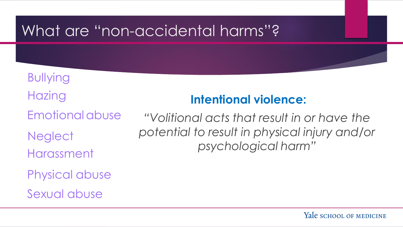### What are "non-accidental harms"?

Bullying

**Hazing** 

Emotionalabuse

**Neglect** 

Harassment

Physical abuse

Sexual abuse

#### **Intentional violence:**

*"Volitional acts that result in or have the potential to result in physical injury and/or psychological harm"*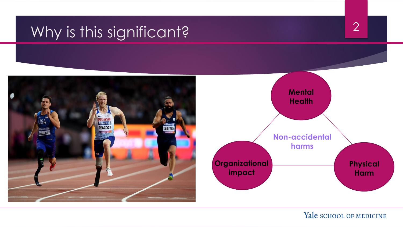## Why is this significant?



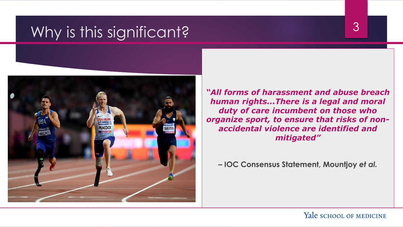### Why is this significant?



*"All forms of harassment and abuse breach human rights...There is a legal and moral duty of care incumbent on those who organize sport, to ensure that risks of nonaccidental violence are identified and mitigated"*

**– IOC Consensus Statement, Mountjoy** *et al.*

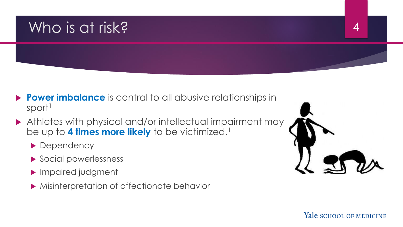### Who is at risk? 4

- **Power imbalance** is central to all abusive relationships in sport<sup>1</sup>
- Athletes with physical and/or intellectual impairment may be up to 4 times more likely to be victimized.<sup>1</sup>
	- Dependency
	- Social powerlessness
	- Impaired judgment
	- **Misinterpretation of affectionate behavior**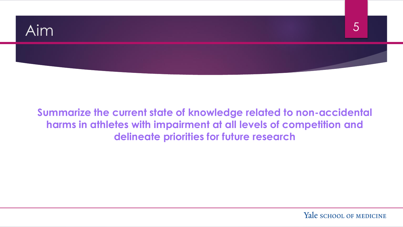

**Summarize the current state of knowledge related to non-accidental harms in athletes with impairment at all levels of competition and delineate priorities for future research**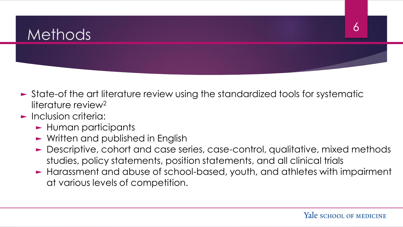## Methods 6

- ► State-of the art literature review using the standardized tools for systematic literature review<sup>2</sup>
- ► Inclusion criteria:
	- ► Human participants
	- ► Written and published in English
	- ► Descriptive, cohort and case series, case-control, qualitative, mixed methods studies, policy statements, position statements, and all clinical trials
	- ► Harassment and abuse of school-based, youth, and athletes with impairment at various levels of competition.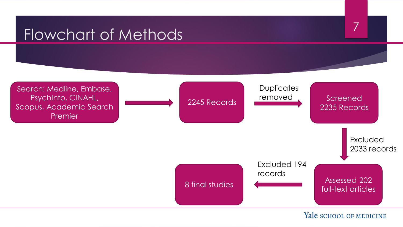## Flowchart of Methods 7

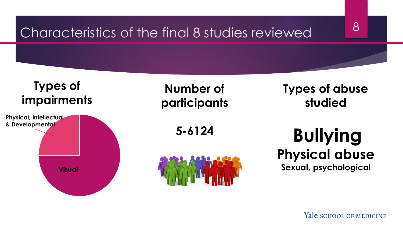## Characteristics of the final 8 studies reviewed 8



#### **Types of impairments**



#### **Number of participants**

**5-6124**



#### **Types of abuse studied**

**Bullying Physical abuse Sexual, psychological**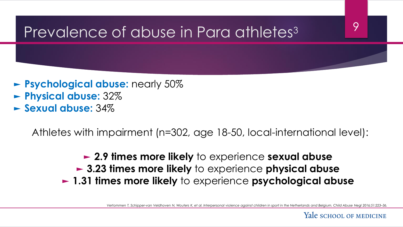## Prevalence of abuse in Para athletes<sup>3</sup>

- ► **Psychological abuse:** nearly 50% ► **Physical abuse:** 32%
- ► **Sexual abuse:** 34%

Athletes with impairment (n=302, age 18-50, local-international level):

► **2.9 times more likely** to experience **sexual abuse** ► **3.23 times more likely** to experience **physical abuse** ► **1.31 times more likely** to experience **psychological abuse**

*Vertommen T, Schipper-van Veldhoven N, Wouters K, et al. Interpersonal violence against children in sport in the Netherlands and Belgium. Child Abuse Negl 2016;51:223–36.*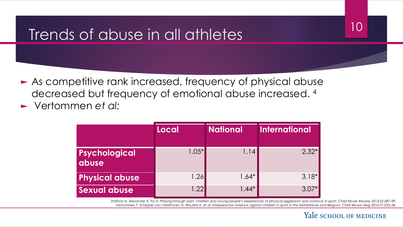## Trends of abuse in all athletes and  $10$

► As competitive rank increased, frequency of physical abuse decreased but frequency of emotional abuse increased. <sup>4</sup> ► Vertommen *et al:*

|                        | Local   | <b>National</b> | <b>International</b> |
|------------------------|---------|-----------------|----------------------|
| Psychological<br>dbuse | $1.05*$ | 1.14            | $2.32*$              |
| <b>Physical abuse</b>  | 1.26    | $1.64*$         | $3.18*$              |
| <b>Sexual abuse</b>    | 1.22    | $1.44*$         | $3.07*$              |

*Stafford A, Alexander K, Fry D. Playing through pain: children and young people's experiences of physical aggression and violence in sport. Child Abuse Review 2013;22:287-99. Vertommen T, Schipper-van Veldhoven N, Wouters K, et al. Interpersonal violence against children in sport in the Netherlands and Belgium. Child Abuse Negl 2016;51:223–36.*

#### Yale school of MEDICINE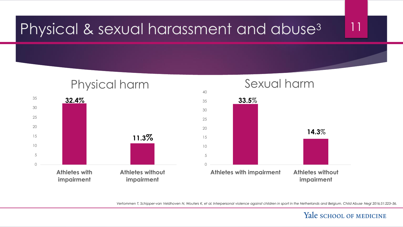### Physical & sexual harassment and abuse<sup>3</sup> 11



*Vertommen T, Schipper-van Veldhoven N, Wouters K, et al. Interpersonal violence against children in sport in the Netherlands and Belgium. Child Abuse Negl 2016;51:223–36.*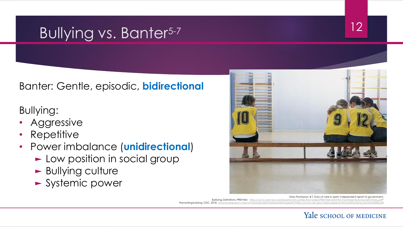## Bullying vs. Banter<sup>5-7</sup> 12

Banter: Gentle, episodic, **bidirectional**

Bullying:

- **Aggressive**
- Repetitive
- Power imbalance (**unidirectional**)
	- ► Low position in social group
	- ► Bullying culture
	- ► Systemic power



Grey-Thompson, B.T. Duty of care in sport: independent report to government. Bulllying: Definitions. PREVNet. [https://www.prevnet.ca/sites/prevnet.ca/files/fact-sheet/PREVNet-SAMHSA-Factsheet-Bullying-Definitions.pdf](https://nam05.safelinks.protection.outlook.com/?url=https://www.prevnet.ca/sites/prevnet.ca/files/fact-sheet/PREVNet-SAMHSA-Factsheet-Bullying-Definitions.pdf&data=02|01|qisi.sun@yale.edu|f40c969a92f24558972a08d7238ea625|dd8cbebb21394df8b4114e3e87abeb5c|0|0|637016968681926753&sdata=5jqmbMVT2dqcMhLOxQSBWgPRbLUBsStPTJnftQfaB9A=&reserved=0)" Preventing bullying. CDC. 2018. [chrome-extension://oemmndcbldboiebfnladdacbdfmadadm/https://www.cdc.gov/violenceprevention/pdf/bullying-factsheet508.pdf](chrome-extension://oemmndcbldboiebfnladdacbdfmadadm/https:/www.cdc.gov/violenceprevention/pdf/bullying-factsheet508.pdf)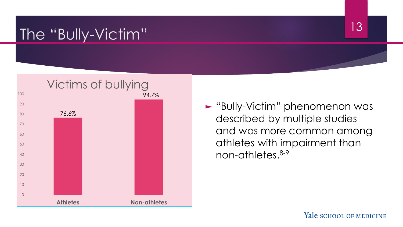## The "Bully-Victim" 13



► "Bully-Victim" phenomenon was described by multiple studies and was more common among athletes with impairment than non-athletes.8-9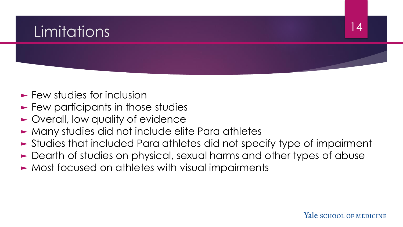### Limitations <sup>14</sup>

- ► Few studies for inclusion
- ► Few participants in those studies
- ► Overall, low quality of evidence
- ► Many studies did not include elite Para athletes
- ► Studies that included Para athletes did not specify type of impairment
- ► Dearth of studies on physical, sexual harms and other types of abuse
- ► Most focused on athletes with visual impairments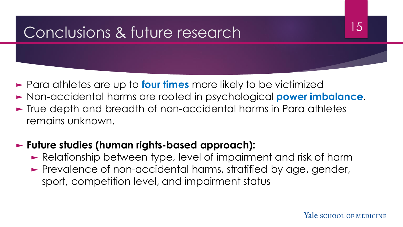## Conclusions & future research 15

- ► Para athletes are up to **four times** more likely to be victimized
- ► Non-accidental harms are rooted in psychological **power imbalance**.
- ► True depth and breadth of non-accidental harms in Para athletes remains unknown.

#### ► **Future studies (human rights-based approach):**

- ► Relationship between type, level of impairment and risk of harm
- ► Prevalence of non-accidental harms, stratified by age, gender, sport, competition level, and impairment status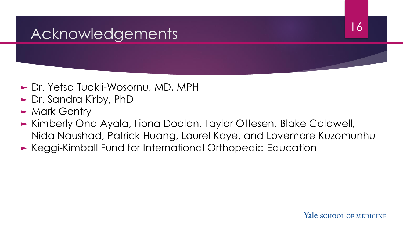## Acknowledgements 16

- ► Dr. Yetsa Tuakli-Wosornu, MD, MPH
- ► Dr. Sandra Kirby, PhD
- ► Mark Gentry
- ► Kimberly Ona Ayala, Fiona Doolan, Taylor Ottesen, Blake Caldwell, Nida Naushad, Patrick Huang, Laurel Kaye, and Lovemore Kuzomunhu
- ► Keggi-Kimball Fund for International Orthopedic Education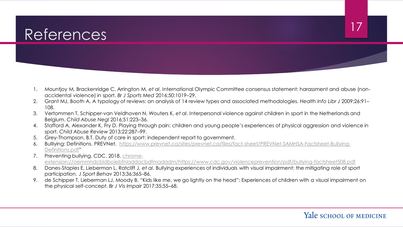## References and the settlement of the settlement of the settlement of the settlement of the settlement of the set

- 1. Mountjoy M, Brackenridge C, Arrington M, *et al*. International Olympic Committee consensus statement: harassment and abuse (nonaccidental violence) in sport. *Br J Sports Med* 2016;50:1019–29.
- 2. Grant MJ, Booth A. A typology of reviews: an analysis of 14 review types and associated methodologies. *Health Info Libr J* 2009;26:91– 108.
- 3. Vertommen T, Schipper-van Veldhoven N, Wouters K, *et al*. Interpersonal violence against children in sport in the Netherlands and Belgium. *Child Abuse Negl* 2016;51:223–36.
- 4. Stafford A, Alexander K, Fry D. Playing through pain: children and young people's experiences of physical aggression and violence in sport. *Child Abuse Review* 2013;22:287–99.
- 5. Grey-Thompson, B.T. Duty of care in sport: independent report to government.
- 6. [Bulllying: Definitions. PREVNet. https://www.prevnet.ca/sites/prevnet.ca/files/fact-sheet/PREVNet-SAMHSA-Factsheet-Bullying-](https://nam05.safelinks.protection.outlook.com/?url=https://www.prevnet.ca/sites/prevnet.ca/files/fact-sheet/PREVNet-SAMHSA-Factsheet-Bullying-Definitions.pdf&data=02|01|qisi.sun@yale.edu|f40c969a92f24558972a08d7238ea625|dd8cbebb21394df8b4114e3e87abeb5c|0|0|637016968681926753&sdata=5jqmbMVT2dqcMhLOxQSBWgPRbLUBsStPTJnftQfaB9A=&reserved=0)Definitions.pdf"
- 7. Preventing bullying. CDC. 2018. chrome[extension://oemmndcbldboiebfnladdacbdfmadadm/https://www.cdc.gov/violenceprevention/pdf/bullying-factsheet508.pdf](chrome-extension://oemmndcbldboiebfnladdacbdfmadadm/https:/www.cdc.gov/violenceprevention/pdf/bullying-factsheet508.pdf)
- 8. Danes-Staples E, Lieberman L, Ratcliff J, *et al*. Bullying experiences of individuals with visual impairment: the mitigating role of sport participation. *J Sport Behav* 2013;36:365–86.
- 9. de Schipper T, Lieberman LJ, Moody B. "Kids like me, we go lightly on the head": Experiences of children with a visual impairment on the physical self-concept. *Br J Vis Impair* 2017;35:55–68.